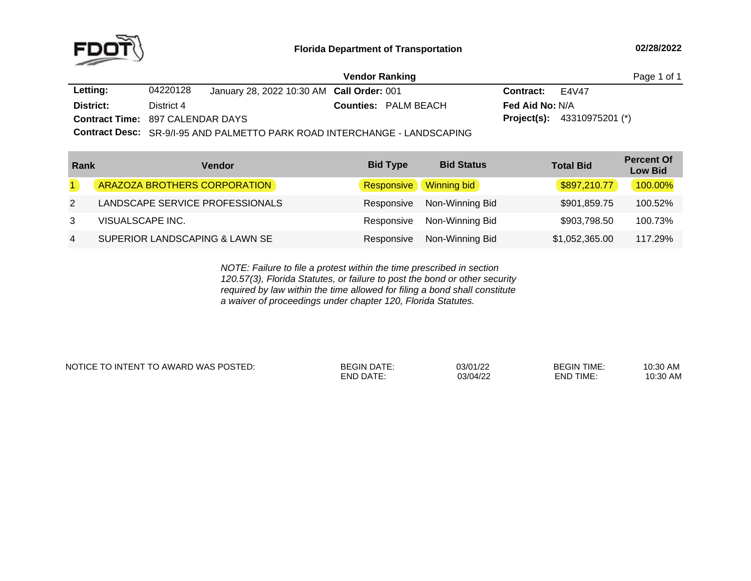

|                                         |            |                                           | <b>Vendor Ranking</b>                                                   |                        |                                      | Page 1 of 1 |
|-----------------------------------------|------------|-------------------------------------------|-------------------------------------------------------------------------|------------------------|--------------------------------------|-------------|
| Letting:                                | 04220128   | January 28, 2022 10:30 AM Call Order: 001 |                                                                         | Contract:              | E4V47                                |             |
| District:                               | District 4 |                                           | <b>Counties: PALM BEACH</b>                                             | <b>Fed Aid No: N/A</b> |                                      |             |
| <b>Contract Time: 897 CALENDAR DAYS</b> |            |                                           |                                                                         |                        | <b>Project(s):</b> $43310975201$ (*) |             |
|                                         |            |                                           | Contract Decay OD ALLOC AND DALMETTO DADICDOAD INTEDOLLANOE LANDOOADING |                        |                                      |             |

**Contract Desc:** SR-9/I-95 AND PALMETTO PARK ROAD INTERCHANGE - LANDSCAPING

| Rank           | Vendor                          | <b>Bid Type</b>   | <b>Bid Status</b>  | <b>Total Bid</b> | <b>Percent Of</b><br><b>Low Bid</b> |
|----------------|---------------------------------|-------------------|--------------------|------------------|-------------------------------------|
|                | ARAZOZA BROTHERS CORPORATION    | <b>Responsive</b> | <b>Winning bid</b> | \$897,210.77     | 100.00%                             |
| 2              | LANDSCAPE SERVICE PROFESSIONALS | Responsive        | Non-Winning Bid    | \$901,859.75     | 100.52%                             |
| 3              | VISUALSCAPE INC.                | Responsive        | Non-Winning Bid    | \$903,798.50     | 100.73%                             |
| $\overline{4}$ | SUPERIOR LANDSCAPING & LAWN SE  | Responsive        | Non-Winning Bid    | \$1,052,365.00   | 117.29%                             |

*NOTE: Failure to file <sup>a</sup> protest within the time prescribed in section 120.57(3), Florida Statutes, or failure to post the bond or other security required by law within the time allowed for filing <sup>a</sup> bond shall constitute a waiver of proceedings under chapter 120, Florida Statutes.*

NOTICE TO INTENT TO AWARD WAS POSTED: BEGIN DATE: 03/01/22 BEGIN TIME: 10:30 AM

END DATE: 03/04/22 END TIME:

10:30 AM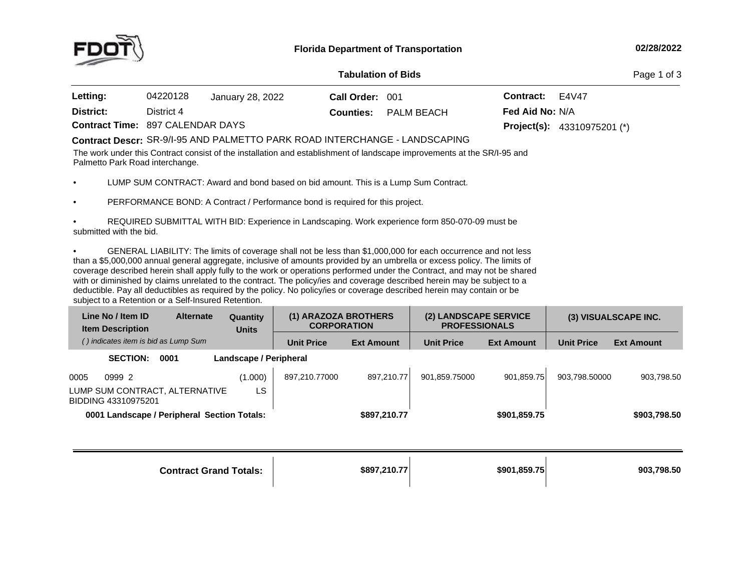

## **Tabulation**

Page 1 of 3

| <b>Letting:</b>                         | 04220128   | January 28, 2022 | Call Order: 001 |                             | <b>Contract:</b> $E4V47$ |                                      |
|-----------------------------------------|------------|------------------|-----------------|-----------------------------|--------------------------|--------------------------------------|
| District:                               | District 4 |                  |                 | <b>Counties:</b> PALM BEACH | <b>Fed Aid No: N/A</b>   |                                      |
| <b>Contract Time: 897 CALENDAR DAYS</b> |            |                  |                 |                             |                          | <b>Project(s):</b> $43310975201$ (*) |

## SR-9/I-95 AND PALMETTO PARK ROAD INTERCHANGE - LANDSCAPING **Contract Descr:**

The work under this Contract consist of the installation and establishment of landscape improvements at the SR/I-95 and Palmetto Park Road interchange.

•LUMP SUM CONTRACT: Award and bond based on bid amount. This is <sup>a</sup> Lump Sum Contract.

•PERFORMANCE BOND: <sup>A</sup> Contract / Performance bond is required for this project.

• REQUIRED SUBMITTAL WITH BID: Experience in Landscaping. Work experience form 850-070-09 must be submitted with the bid.

•GENERAL LIABILITY: The limits of coverage shall not be less than \$1,000,000 for each occurrence and not less than <sup>a</sup> \$5,000,000 annual general aggregate, inclusive of amounts provided by an umbrella or excess policy. The limits of coverage described herein shall apply fully to the work or operations performed under the Contract, and may not be shared with or diminished by claims unrelated to the contract. The policy/ies and coverage described herein may be subject to <sup>a</sup> deductible. Pay all deductibles as required by the policy. No policy/ies or coverage described herein may contain or be subject to <sup>a</sup> Retention or <sup>a</sup> Self-Insured Retention.

|      | Line No / Item ID<br><b>Item Description</b>          | <b>Alternate</b> | Quantity<br><b>Units</b> | (1) ARAZOZA BROTHERS<br><b>CORPORATION</b> |                   | (2) LANDSCAPE SERVICE<br><b>PROFESSIONALS</b> |                   |                   | (3) VISUALSCAPE INC. |
|------|-------------------------------------------------------|------------------|--------------------------|--------------------------------------------|-------------------|-----------------------------------------------|-------------------|-------------------|----------------------|
|      | () indicates item is bid as Lump Sum                  |                  |                          | <b>Unit Price</b>                          | <b>Ext Amount</b> | <b>Unit Price</b>                             | <b>Ext Amount</b> | <b>Unit Price</b> | <b>Ext Amount</b>    |
|      | <b>SECTION:</b>                                       | 0001             | Landscape / Peripheral   |                                            |                   |                                               |                   |                   |                      |
| 0005 | 0999 2                                                |                  | (1.000)                  | 897.210.77000                              | 897.210.77        | 901.859.75000                                 | 901.859.75        | 903.798.50000     | 903,798.50           |
|      | LUMP SUM CONTRACT, ALTERNATIVE<br>BIDDING 43310975201 |                  | LS                       |                                            |                   |                                               |                   |                   |                      |
|      | 0001 Landscape / Peripheral Section Totals:           |                  |                          |                                            | \$897,210.77      |                                               | \$901,859.75      |                   | \$903,798.50         |
|      |                                                       |                  |                          |                                            |                   |                                               |                   |                   |                      |
|      |                                                       |                  |                          |                                            |                   |                                               |                   |                   |                      |

**Contract Grand**

**Totals: \$897,210.77 \$901,859.75 903,798.50**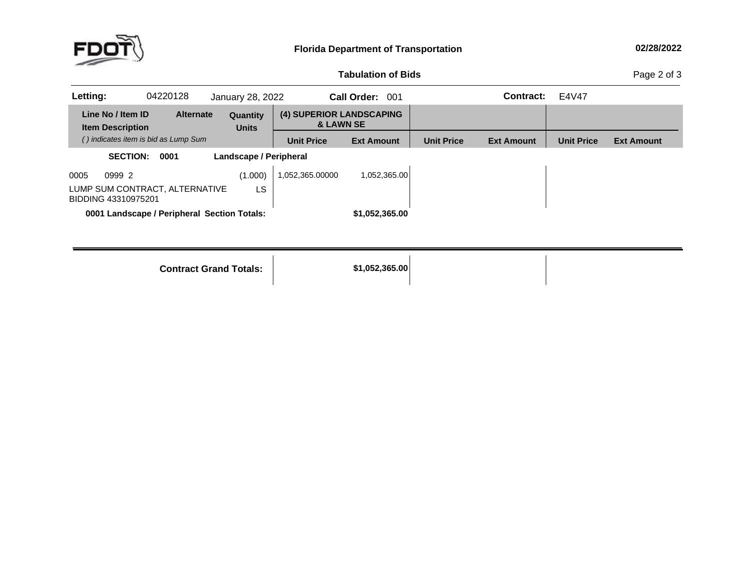

## **Tabulation**

Page 2 of 3

| Letting: |                                              | 04220128                                    | January 28, 2022         |                   | Call Order: 001                                  |                   | Contract:         | E4V47             |                   |
|----------|----------------------------------------------|---------------------------------------------|--------------------------|-------------------|--------------------------------------------------|-------------------|-------------------|-------------------|-------------------|
|          | Line No / Item ID<br><b>Item Description</b> | <b>Alternate</b>                            | Quantity<br><b>Units</b> |                   | (4) SUPERIOR LANDSCAPING<br><b>&amp; LAWN SE</b> |                   |                   |                   |                   |
|          |                                              | () indicates item is bid as Lump Sum        |                          | <b>Unit Price</b> | <b>Ext Amount</b>                                | <b>Unit Price</b> | <b>Ext Amount</b> | <b>Unit Price</b> | <b>Ext Amount</b> |
|          | <b>SECTION:</b>                              | 0001                                        | Landscape / Peripheral   |                   |                                                  |                   |                   |                   |                   |
| 0005     | 0999 2                                       |                                             | (1.000)                  | 1,052,365.00000   | 1,052,365.00                                     |                   |                   |                   |                   |
|          | BIDDING 43310975201                          | LUMP SUM CONTRACT, ALTERNATIVE              | LS                       |                   |                                                  |                   |                   |                   |                   |
|          |                                              | 0001 Landscape / Peripheral Section Totals: |                          |                   | \$1,052,365.00                                   |                   |                   |                   |                   |
|          |                                              |                                             |                          |                   |                                                  |                   |                   |                   |                   |
|          |                                              |                                             |                          |                   |                                                  |                   |                   |                   |                   |

**Contract Grand Totals: \$1,052,365.00**